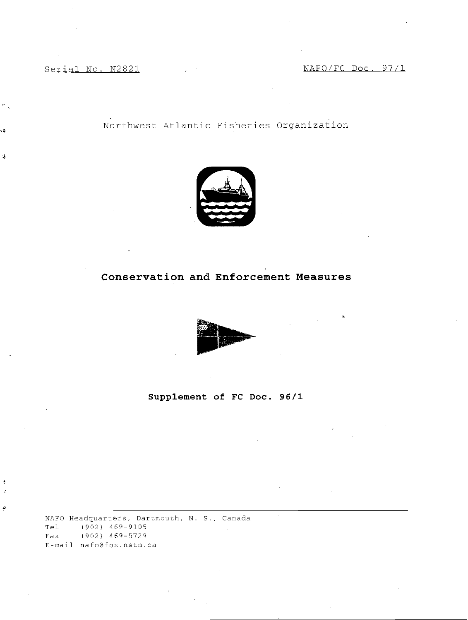ر<br>پ

 $\pmb{\downarrow}$ 

٩.

Serial No. N2821 National MAFO/FC Doc. 97/1

# Northwest Atlantic Fisheries Organization



# Conservation and Enforcement Measures



# Supplement of FC Doc. 96/1

NAFO Headquarters, Dartmouth, N. S., Canada Tel (902) 469-9105 Fax (902) 469-5729 E-mail nafo@fox.nstn.ca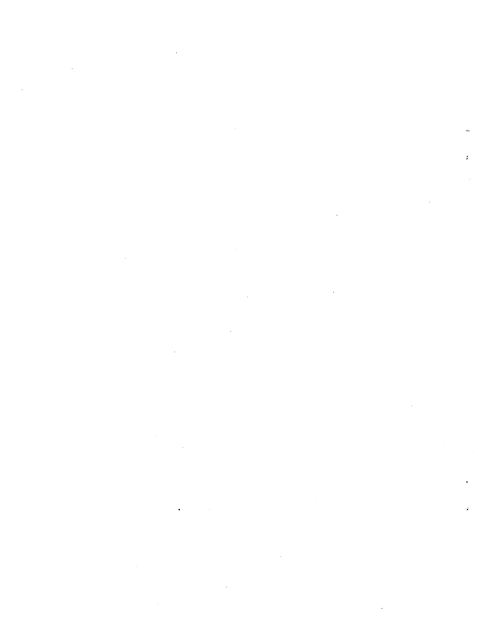$\label{eq:2.1} \mathcal{L}(\mathcal{L}^{\text{max}}_{\mathcal{L}}(\mathcal{L}^{\text{max}}_{\mathcal{L}})) \leq \mathcal{L}(\mathcal{L}^{\text{max}}_{\mathcal{L}}(\mathcal{L}^{\text{max}}_{\mathcal{L}}))$ 

 $\ddot{\cdot}$ k,

 $\mathcal{L}(\mathcal{L}(\mathcal{L}))$  and  $\mathcal{L}(\mathcal{L}(\mathcal{L}))$  . The contribution of  $\mathcal{L}(\mathcal{L})$ 

 $\label{eq:2.1} \frac{1}{\sqrt{2}}\int_{\mathbb{R}^3}\frac{1}{\sqrt{2}}\left(\frac{1}{\sqrt{2}}\right)^2\frac{1}{\sqrt{2}}\left(\frac{1}{\sqrt{2}}\right)^2\frac{1}{\sqrt{2}}\left(\frac{1}{\sqrt{2}}\right)^2.$ 

 $\label{eq:2} \frac{1}{2} \int_{0}^{2\pi} \frac{1}{\sqrt{2\pi}} \, \frac{d\omega}{2\pi} \, \frac{d\omega}{2\pi} \, \frac{d\omega}{2\pi} \, \frac{d\omega}{2\pi} \, \frac{d\omega}{2\pi} \, \frac{d\omega}{2\pi} \, \frac{d\omega}{2\pi} \, \frac{d\omega}{2\pi} \, \frac{d\omega}{2\pi} \, \frac{d\omega}{2\pi} \, \frac{d\omega}{2\pi} \, \frac{d\omega}{2\pi} \, \frac{d\omega}{2\pi} \, \frac{d\omega}{2\pi} \,$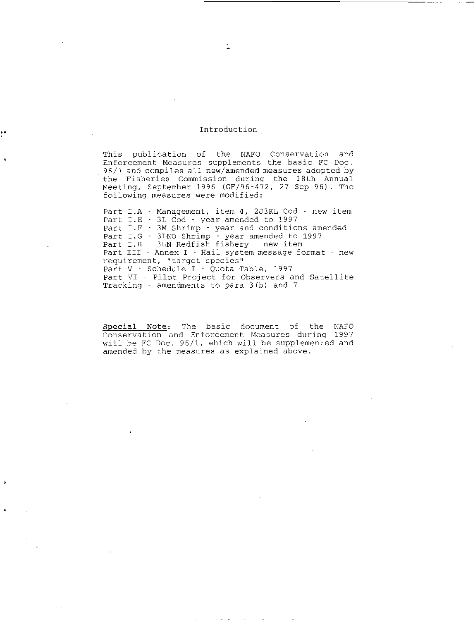# <sup>9</sup>Introduction

This publication of the NAFO Conservation and Enforcement Measures supplements the basic FC Doc. 96/1 and compiles all new/amended measures adopted by the Fisheries Commission during the 18th Annual Meeting, September 1996 (GF/96-172, 27 Sep 96). The following measures were modified:

Part I.A - Management, item 4, 2J3KL Cod - new item Part I.E - 3L Cod - year amended to 1997 Part I.F - 3M Shrimp - year and conditions amended Part I.0 - 3LN0 Shrimp - year amended to 1997 Part I.H - 3LN Redfish fishery - new item Part III - Annex I - Hail system message format - new requirement, "target species" Part V - Schedule I - Quota Table, 1997 Part VI - Pilot Project for Observers and Satellite Tracking - amendments to para 3(b) and 7

Special Note: The basic document of the NAFO Conservation and Enforcement Measures during 1997 will be FC Doc. 96/1, which will be supplemented and amended by the measures as explained above.

 $\mathbf{1}$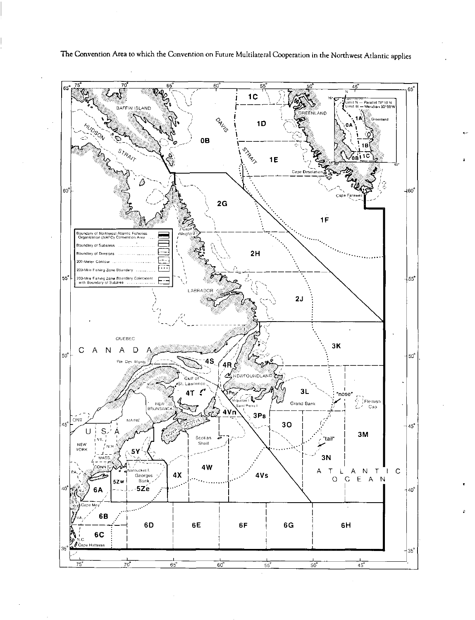The Convention Area to which the Convention on Future Multilateral Cooperation in the Northwest Atlantic applies

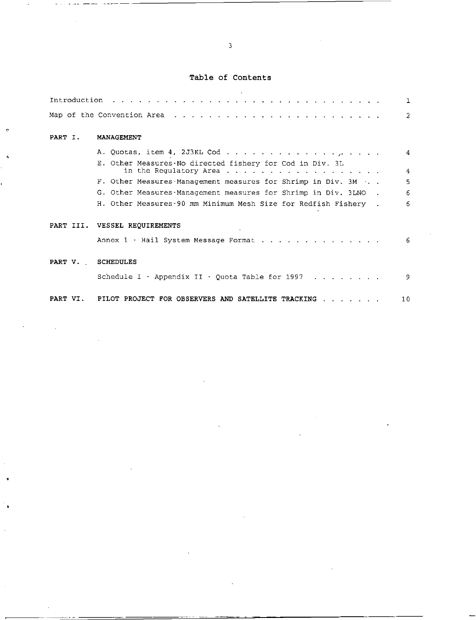# Table of Contents

| Introduction      | والوالد والمناور والمناور والمناور والمناور والمناور والمناور والمناور والمناور والمناور                                      | 1               |
|-------------------|-------------------------------------------------------------------------------------------------------------------------------|-----------------|
|                   |                                                                                                                               | $\mathbf{2}$    |
| PART I.           | MANAGEMENT                                                                                                                    |                 |
|                   | E. Other Measures-No directed fishery for Cod in Div. 3L                                                                      | $\overline{a}$  |
|                   | in the Regulatory Area $\ldots$                                                                                               | 4               |
|                   | F. Other Measures-Management measures for Shrimp in Div. 3M<br>G. Other Measures Management measures for Shrimp in Div. 3LNO. | 5.<br>6.        |
|                   | H. Other Measures-90 mm Minimum Mesh Size for Redfish Fishery .                                                               | 6               |
|                   | PART III. VESSEL REQUIREMENTS<br>Annex 1 · Hail System Message Format                                                         | 6               |
| PART V. SCHEDULES |                                                                                                                               |                 |
|                   | Schedule I - Appendix II - Quota Table for 1997                                                                               | 9               |
| PART VI.          | PILOT PROJECT FOR OBSERVERS AND SATELLITE TRACKING                                                                            | 10 <sup>°</sup> |

×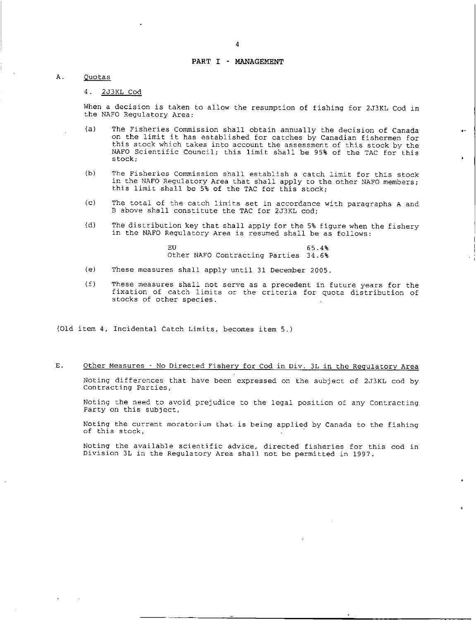#### PART I - MANAGEMENT

### A. Quotas

# 4. 2J3KL Cod

When a decision is taken to allow the resumption of fishing for 2J3KL Cod in the NAFO Regulatory Area:

- (a) The Fisheries Commission shall obtain annually the decision of Canada on the limit it has established for catches by Canadian fishermen for this stock which takes into account the assessment of this stock by the NAFO Scientific Council; this limit shall be 95% of the TAC for this stock;
- (b) The Fisheries Commission shall establish a catch limit for this stock in the NAFO Regulatory Area that shall apply to the other NAFO members; this limit shall be 5% of the TAC for this stock;
- (c) The total of the catch limits set in accordance with paragraphs A and B above shall constitute the TAC for 2J3KL cod;
- (d) The distribution key that shall apply for the 5% figure when the fishery in the NAFO Regulatory Area is resumed shall be as follows:

 $E$ U 65.4% Other NAFO Contracting Parties 34.6%

- (e) These measures shall apply until 31 December 2005.
- (f) These measures shall not serve as a precedent in future years for the fixation of catch limits or the criteria for quota distribution of stocks of other species.

(Old item 4, Incidental Catch Limits, becomes item 5.)

E. Other Measures - No Directed Fishery for Cod in Div. 3L in the Regulatory Area

Noting differences that have been expressed on the subject of 2J3KL cod by Contracting Parties,

Noting the need to avoid prejudice to the legal position of any Contracting Party on this subject,

Noting the current moratorium that is being applied by Canada to the fishing of this stock,

Noting the available scientific advice, directed fisheries for this cod in Division 3L in the Regulatory Area shall not be permitted in 1997.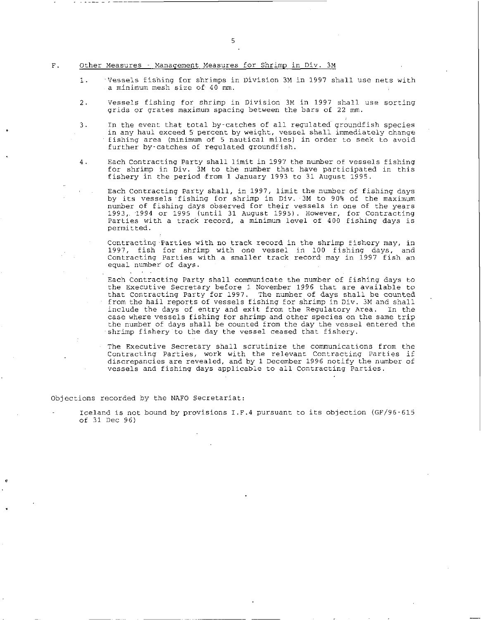# F. Other Measures - Management Measures for Shrimp in Div. 3M

1. Vessels fishing for shrimps in Division 3M in 1997 shall use nets with a minimum mesh size of 40 mm.

5

- 2. Vessels fishing for shrimp in Division 3M in 1997 shall use sorting grids or grates maximum spacing between the bars of 22 mm.
- 3. In the event that total by-catches of all regulated groundfish species in any haul exceed 5 percent by weight, vessel shall immediately change fishing area (minimum of 5 nautical miles) in order to seek to avoid further by-catches of regulated groundfish.
- 4. Each Contracting Party shall limit in 1997 the number of vessels fishing for shrimp in Div. 3M to the number that have participated in this fishery in the period from 1 January 1993 to 31 August 1995.
	- Each Contracting Party shall, in 1997, limit the number of fishing days by its vessels fishing for shrimp in Div. 3M to 90% of the maximum number of fishing days observed for their vessels in one of the years 1993,. 1994 or 1995 (until 31 August 1995). However, for Contracting Parties with a track record, a minimum level of 400 fishing days is permitted.

Contracting-Parties with no track record in the shrimp fishery may, in 1997, fish for shrimp with one vessel in 100 fishing days, and Contracting Parties with a smaller track record may in 1997 fish an equal number of days.

Each Contracting Party shall communicate the number of fishing days to the Executive Secretary before 1 November 1996 that are available to that Contracting Party for 1997. The number of days shall be counted from the hail reports of vessels fishing for shrimp in Div. 3M and shall include the days of entry and exit from the Regulatory Area. In the case where vessels fishing for shrimp and other species on the same trip the number of days shall be counted from the day the vessel entered the shrimp fishery 'to the day the vessel ceased that fishery.

The Executive Secretary shall scrutinize the communications from the Contracting Parties, work with the relevant Contracting Parties if discrepancies are revealed, and by 1 December 1996 notify the number of vessels and fishing days applicable to all Contracting Parties.

#### Objections recorded by the NAFO Secretariat:

Iceland is not bound by provisions I.F.4 pursuant to its objection (GF/96-615 of 31 Dec 96)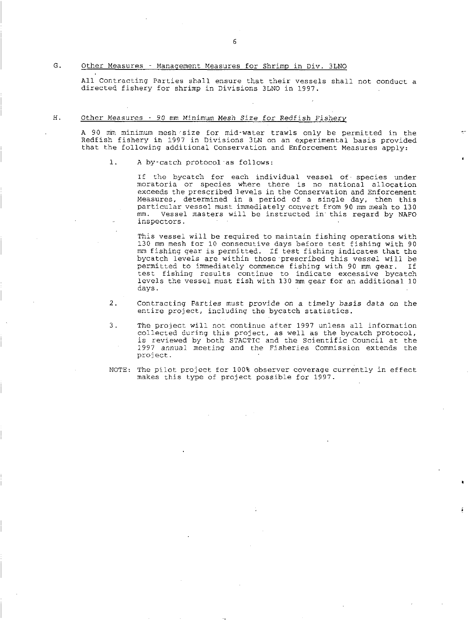## G. Other Measures - Management Measures for Shrimp in Div. 3LNO

All Contracting Parties shall ensure that their vessels shall not conduct a directed fishery for shrimp in Divisions 3LNO in 1997.

#### H. Other Measures - 90 mm Minimum Mesh *Size for* Redfish Fishery

A 90 mm minimum mesh size for mid-water trawls only be permitted in the Redfish fishery in 1997 in Divisions 3LN on an experimental basis provided that the following additional Conservation and Enforcement Measures apply:

1. A by-catch protocol as follows:

If the bycatch for each individual vessel of• species under moratoria or species where there is no national allocation exceeds the prescribed levels in the Conservation and Enforcement Measures, determined in a period of a single day, then this particular vessel must immediately convert from 90 mm mesh to 130 mm. Vessel masters will be instructed in• this regard by NAFO inspectors.

This vessel will be required to maintain fishing operations with 130 mm mesh for 10 consecutive days before test fishing with 90 mm fishing gear is permitted. If test fishing indicates that the bycatch levels are within those prescribed this vessel will be permitted to immediately commence fishing with 90 mm gear. If test fishing results continue to indicate excessive bycatch levels the vessel must fish with 130 mm gear for an additional 10 days.

- 2. Contracting Parties must provide *on* a timely *basis* data on the entire project, including the bycatch statistics.
- 3. The project will not continue after 1997 unless all information collected during this project, as well as the bycatch protocol, is reviewed by both STACTIC and the Scientific Council at the 1997 annual *meeting* and the Fisheries Commission extends the project.
- NOTE: The pilot project for 100% observer coverage currently in effect makes this type of project possible for 1997.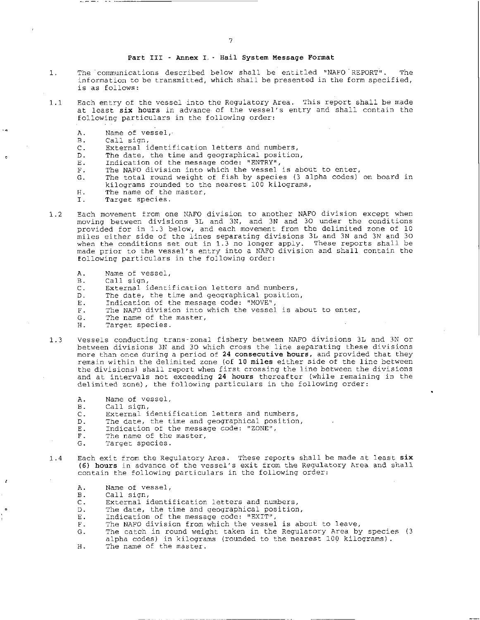#### **Part III - Annex I, - Hail System Message Format**

- $1$  . The communications described below shall be entitled "NAFO REPORT". The information to be transmitted, which shall be presented in the form specified, is as follows:
- Each entry of the vessel into the Regulatory Area. This report shall be made  $1.1$ at least **six hours** in advance of the vessel's entry and shall contain the following particulars in the following order:
	- A. Name of vessel,<br>B. Call sign,
	-

ø

7

----

- B. Call sign,<br>C. External i External identification letters and numbers,
- D. The date, the time and geographical position,
- E. Indication of the message code: "ENTRY",
- F. The NAFO division into which the vessel is about to enter,
- G. The total round weight of fish by species (3 alpha codes) on board in kilograms rounded to the nearest 100 kilograms,
- H. The name of the master,
- I. Target species.
- 1.2 Each movement from one NAFO division to another NAFO division except when moving between divisions 3L and 3N, and 3N and 30 under the conditions provided for in 1.3 below, and each movement from the delimited zone of 10 miles either side of the lines separating divisions 3L and 3N and 3N and 30 when the conditions set out in 1.3 no longer apply. These reports shall be made prior to the vessel's entry into a NAFO division and shall contain the following particulars in the following order:
	- A. Name of vessel,<br>B. Call sign.
	-
	- B. Call sign,<br>C. External i C. External identification letters and numbers,<br>D. The date, the time and geographical position
	- D. The date, the time and geographical position,<br>E. Indication of the message code: "MOVE".
	- E. Indication of the message code: "MOVE",<br>F. The NAFO division into which the vessel
	- F. The NAFO division into which the vessel is about to enter,<br>G. The name of the master.
	- G. The name of the master,<br>H. Target species.
	- Target species.
- 1.3 Vessels conducting trans-zonal fishery between NAFO divisions 31 and 3N or between divisions 3N and 30 which cross the line separating these divisions more than once during a period of **24 consecutive hours,** and provided that they remain within the delimited zone (of **10 miles** either side of the line between the divisions) shall report when first crossing the line between the divisions and at intervals not exceeding **24 hours** thereafter (while remaining in the delimited zone), the following particulars in the following order:
	- A. Name of vessel,<br>B. Call sign.
	- B. Call sign,<br>C. External i
	-
	- C. External identification letters and numbers,<br>D. The date, the time and geographical position D. The date, the time and geographical position,<br>E. Thdication of the message code: "ZONE",
	- E. Indication of the message code: "ZONE",<br>F. The name of the master,
	- F. The name of the master,<br>G. Target species.
	- Target species.
- 1.4 Each exit from the Regulatory Area. These reports shall be made at least **six (6) hours** in advance of the vessel's exit from the Regulatory Area and shall contain the following particulars in the following order:
	- A. Name of vessel,<br>B. Call sign,
	-
	- B. Call sign,<br>C. External i C. External identification letters and numbers,<br>D. The date, the time and geographical position
	- D. The date, the time and geographical position,
	- E. Indication of the message code: "EXIT",
	-
	- F. The NAFO division from which the vessel is about to leave,<br>G. The catch in round weight taken in the Regulatory Area by The catch in round weight taken in the Regulatory Area by species (3 alpha codes) in kilograms (rounded to the nearest 100 kilograms).
	- H. The name of the master.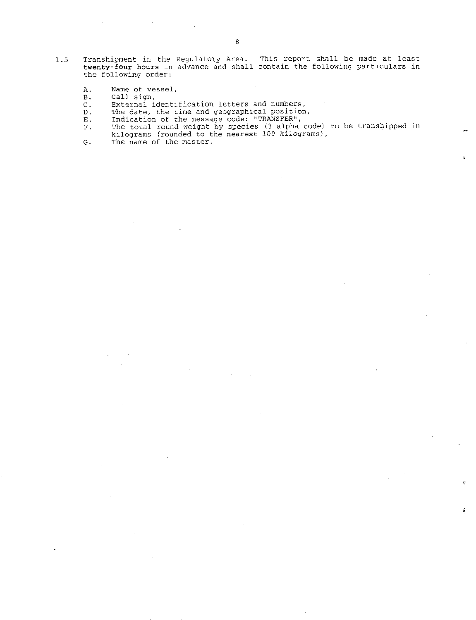- 1.5 Transhipment in the Regulatory Area. This report shall be made at least twenty-four hours in advance and shall contain the following particulars in the following order:
	- A. Name of vessel,<br>B. Call sign,
	- B. Call sign,<br>C. External ion
	- C. External identification letters and numbers,<br>D. The date, the time and geographical position
	- D. The date, the time and geographical position,
	- E. Indication of the message code: "TRANSFER",
	- F. The total round weight by species (3 alpha code) to be transhipped in kilograms (rounded to the nearest 100 *kilograms),*
	- G. The name of the master.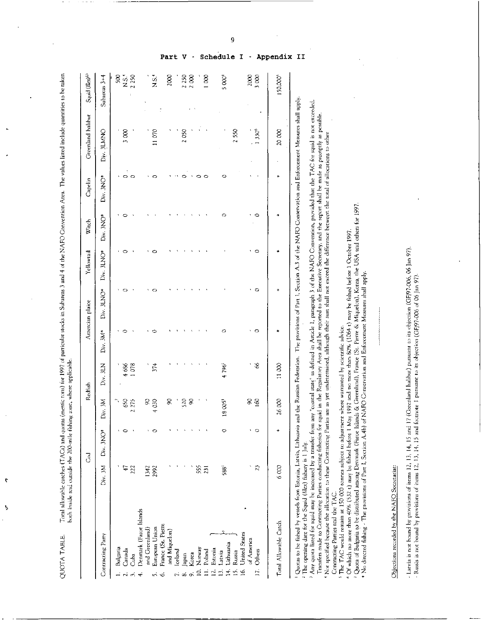| and continued to the con-<br>j<br>$\sim$<br>an diran Ibu un'<br>Į                                                                                                                                                                                                                   |             |
|-------------------------------------------------------------------------------------------------------------------------------------------------------------------------------------------------------------------------------------------------------------------------------------|-------------|
| $\ddotsc$ and $\ddotsc$<br>$\sim$ $\sim$ $\sim$ $\sim$ $\sim$<br>winder stocks in Subareas 3 and 4 of the c<br>:<br>:<br>:<br>$\frac{1}{2}$ and $\frac{1}{2}$ and $\frac{1}{2}$<br>-<br>-<br>-<br>-<br>$\ddot{\phantom{a}}$<br>antas (metric<br>$\ddot{\phantom{0}}$<br>Į<br>j<br>Ł | Ē<br>j<br>ì |
| ĺ<br>$\ddot{\phantom{a}}$                                                                                                                                                                                                                                                           |             |

 $\bar{\mathbf{r}}$ 

 $\mathfrak{t}_2$ 

|                                                                                                                                                                                                 |                    | $\vec{S}$         |                | Redfish       |            | Amercian plaice | Yellowtail | Witch     | Capelin   | Greenland halibur | Squid (llex) <sup>23</sup> |
|-------------------------------------------------------------------------------------------------------------------------------------------------------------------------------------------------|--------------------|-------------------|----------------|---------------|------------|-----------------|------------|-----------|-----------|-------------------|----------------------------|
| Contracting Party                                                                                                                                                                               |                    | Div. 3M Div. 3NO* | Div. 3M        | Div. 3LN      | $Div. 3M*$ | Div. 3LNO*      | Div. 3LNO* | Div. 3NO* | Div. 3NO* | Div. 3LMNO        | Subareas 3+4               |
| Bulgaria                                                                                                                                                                                        |                    |                   |                |               |            |                 |            |           |           |                   | g                          |
| Canada<br>2.                                                                                                                                                                                    | 47                 | o                 | 650            | 4686          |            |                 |            |           | 0         | 3000              | $\frac{5}{2}$              |
| Cuba                                                                                                                                                                                            | 222                |                   | 2275           | 1078          |            |                 |            |           | $\circ$   |                   | 2 250                      |
| Denmark (Faroe Islands                                                                                                                                                                          |                    |                   |                |               |            |                 |            |           |           |                   |                            |
| and Greenland)                                                                                                                                                                                  | 1342               |                   | S6             |               |            |                 |            |           |           |                   |                            |
| France (St. Pierre<br>European Union<br>'n<br>$\ddot{\circ}$                                                                                                                                    | 2992               |                   | 4030           | 374           |            |                 |            |           | ⊂         | 11070             | $\tilde{S}$                |
| and Miquelon)                                                                                                                                                                                   |                    |                   | $\overline{6}$ |               |            |                 |            |           |           |                   | 2000                       |
| Iceland                                                                                                                                                                                         |                    |                   |                |               |            |                 |            |           |           |                   |                            |
| Japan<br>တ်                                                                                                                                                                                     |                    |                   | 520            |               |            |                 |            |           |           | 2050              | 2 250                      |
| Korea<br>$\sigma$                                                                                                                                                                               |                    |                   | g              |               |            |                 |            |           |           |                   | 2000                       |
| Norway<br>$\vec{a}$                                                                                                                                                                             | 555                |                   |                |               |            |                 |            |           | o         |                   |                            |
| Poland<br>$\frac{1}{2}$                                                                                                                                                                         | 231                |                   |                |               |            |                 |            |           | $\circ$   |                   | 1000                       |
| Estonia<br>$\overline{12}$                                                                                                                                                                      |                    |                   |                |               |            |                 |            |           |           |                   |                            |
| Latvia<br>$\vec{\mathbb{D}}$                                                                                                                                                                    | $588$ <sup>1</sup> | O                 | 18005'         | 4 796         | 0          |                 |            | $\circ$   | 0         |                   | 5000                       |
| Lithuania<br>14.                                                                                                                                                                                |                    |                   |                |               |            |                 |            |           |           |                   |                            |
| Russia<br>$\overline{15}$                                                                                                                                                                       |                    |                   |                |               |            |                 |            |           |           | 2550              |                            |
| United States<br>$\leq$                                                                                                                                                                         |                    |                   |                |               |            |                 |            |           |           |                   |                            |
| of America                                                                                                                                                                                      |                    |                   | S.             |               |            |                 |            |           |           |                   | 2000                       |
| Others<br>$\overline{17}$ .                                                                                                                                                                     | 23                 | $\circ$           | 160            | $\frac{8}{5}$ | O          | O               | 0          | O         |           | 1330 <sup>6</sup> | 3000                       |
|                                                                                                                                                                                                 |                    |                   |                |               |            |                 |            |           |           |                   |                            |
| Total Allowable Catch                                                                                                                                                                           | 6000               |                   | 26000          | 11000         |            |                 |            |           | ₩         | 20 000            | 150,000                    |
| Quotas to be fished by vessels from Estonia, Latvia, Lithuania and the Russian Federation. The provisions of Part 1, Section A.3 of the NAFO Conservation and Enforcement Measures shall apply. |                    |                   |                |               |            |                 |            |           |           |                   |                            |
| $\mathcal{L}_{\text{max}}$ and $\mathcal{L}_{\text{max}}$ and $\mathcal{L}_{\text{max}}$ and $\mathcal{L}_{\text{max}}$ and $\mathcal{L}_{\text{max}}$ and $\mathcal{L}_{\text{max}}$<br>.<br>س |                    |                   |                |               |            |                 |            |           |           |                   |                            |

the opening date for the Squid Ulustration is a list.

Any quota listed for squid may be increased by a transfer from any "coastal state" as defined in Article 1, paragraph 3 of the NAFO Convention, provided that the TAC for squid is not exceeded. Transfers made to Contracting Parties conducting fisheries for squid in the Regulatory Area shall be reported to the Executive Secretary, and the report shall be made as promptly as possible. Not specified because the allocation to these Contracting Parties are as yet undetermined, although their sum shall not exceed the difference between the total of allocations to other

Contracting Parties and the TAC.

<sup>5</sup> The TAC would remain at 150 000 tonnes subject to adjustment where warranted by scientific advice.

<sup>7</sup> Quora of Bulgaria to be distributed among Denmark (Faroe Islands & Greenland), France (St. Pierre & Miquelon), Korea, the USA and others for 1997. <sup>6</sup> Of which no more than 40% (532 t) may be fished before 1 May 1997 and no more than 80% (1064 t) may be fished before 1 October 1997.

\* No directed fishing - The provisions of Part 1, Section A.4h) of NAFO Conservation and Enforcement Measures shall apply.

# Objections recorded by the NAFO Secretariat:

- Latvia is not bound by provisions of items 12, 13, 14, 15 and 17 (Greenland halibut) pursuant to its objection (GF/97-006, 06 Jan 97).<br>- Russis is not bound by provisions of items 12, 13, 14, 15 and footnote 1 pursuant t

9

Schedule I - Appendix II

Part V -